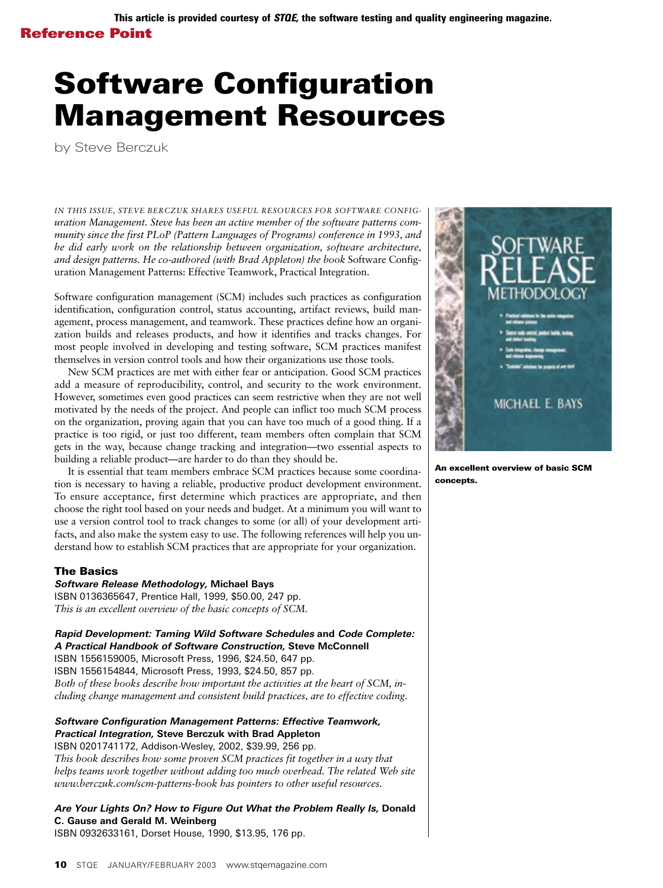# Software Configuration Management Resources

by Steve Berczuk

*IN THIS ISSUE, STEVE BERCZUK SHARES USEFUL RESOURCES FOR SOFTWARE CONFIGuration Management. Steve has been an active member of the software patterns community since the first PLoP (Pattern Languages of Programs) conference in 1993, and he did early work on the relationship between organization, software architecture, and design patterns. He co-authored (with Brad Appleton) the book* Software Configuration Management Patterns: Effective Teamwork, Practical Integration.

Software configuration management (SCM) includes such practices as configuration identification, configuration control, status accounting, artifact reviews, build management, process management, and teamwork. These practices define how an organization builds and releases products, and how it identifies and tracks changes. For most people involved in developing and testing software, SCM practices manifest themselves in version control tools and how their organizations use those tools.

New SCM practices are met with either fear or anticipation. Good SCM practices add a measure of reproducibility, control, and security to the work environment. However, sometimes even good practices can seem restrictive when they are not well motivated by the needs of the project. And people can inflict too much SCM process on the organization, proving again that you can have too much of a good thing. If a practice is too rigid, or just too different, team members often complain that SCM gets in the way, because change tracking and integration—two essential aspects to building a reliable product—are harder to do than they should be.

It is essential that team members embrace SCM practices because some coordination is necessary to having a reliable, productive product development environment. To ensure acceptance, first determine which practices are appropriate, and then choose the right tool based on your needs and budget. At a minimum you will want to use a version control tool to track changes to some (or all) of your development artifacts, and also make the system easy to use. The following references will help you understand how to establish SCM practices that are appropriate for your organization.

### The Basics

**Software Release Methodology, Michael Bays** ISBN 0136365647, Prentice Hall, 1999, \$50.00, 247 pp. *This is an excellent overview of the basic concepts of SCM.*

**Rapid Development: Taming Wild Software Schedules and Code Complete: A Practical Handbook of Software Construction, Steve McConnell** ISBN 1556159005, Microsoft Press, 1996, \$24.50, 647 pp. ISBN 1556154844, Microsoft Press, 1993, \$24.50, 857 pp. *Both of these books describe how important the activities at the heart of SCM, including change management and consistent build practices, are to effective coding.*

## **Software Configuration Management Patterns: Effective Teamwork, Practical Integration, Steve Berczuk with Brad Appleton** ISBN 0201741172, Addison-Wesley, 2002, \$39.99, 256 pp.

*This book describes how some proven SCM practices fit together in a way that helps teams work together without adding too much overhead. The related Web site www.berczuk.com/scm-patterns-book has pointers to other useful resources.* 

## **Are Your Lights On? How to Figure Out What the Problem Really Is, Donald C. Gause and Gerald M. Weinberg**

ISBN 0932633161, Dorset House, 1990, \$13.95, 176 pp.



An excellent overview of basic SCM concepts.